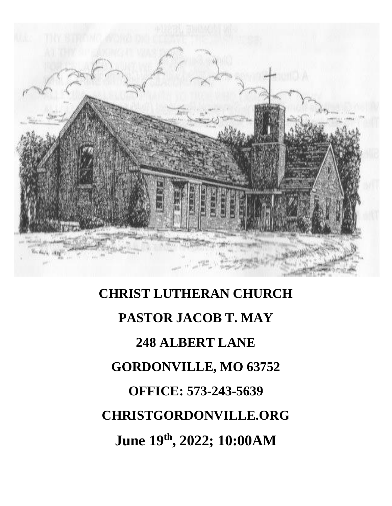

# **CHRIST LUTHERAN CHURCH PASTOR JACOB T. MAY 248 ALBERT LANE GORDONVILLE, MO 63752 OFFICE: 573-243-5639 CHRISTGORDONVILLE.ORG June 19th , 2022; 10:00AM**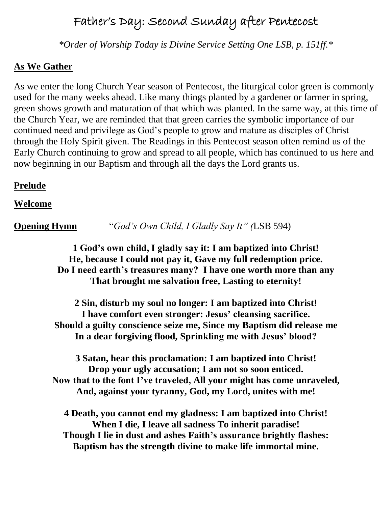# Father's Day: Second Sunday after Pentecost

*\*Order of Worship Today is Divine Service Setting One LSB, p. 151ff.\**

#### **As We Gather**

As we enter the long Church Year season of Pentecost, the liturgical color green is commonly used for the many weeks ahead. Like many things planted by a gardener or farmer in spring, green shows growth and maturation of that which was planted. In the same way, at this time of the Church Year, we are reminded that that green carries the symbolic importance of our continued need and privilege as God's people to grow and mature as disciples of Christ through the Holy Spirit given. The Readings in this Pentecost season often remind us of the Early Church continuing to grow and spread to all people, which has continued to us here and now beginning in our Baptism and through all the days the Lord grants us.

#### **Prelude**

#### **Welcome**

**Opening Hymn** "*God's Own Child, I Gladly Say It" (*LSB 594)

**1 God's own child, I gladly say it: I am baptized into Christ! He, because I could not pay it, Gave my full redemption price. Do I need earth's treasures many? I have one worth more than any That brought me salvation free, Lasting to eternity!**

**2 Sin, disturb my soul no longer: I am baptized into Christ! I have comfort even stronger: Jesus' cleansing sacrifice. Should a guilty conscience seize me, Since my Baptism did release me In a dear forgiving flood, Sprinkling me with Jesus' blood?**

**3 Satan, hear this proclamation: I am baptized into Christ! Drop your ugly accusation; I am not so soon enticed. Now that to the font I've traveled, All your might has come unraveled, And, against your tyranny, God, my Lord, unites with me!**

**4 Death, you cannot end my gladness: I am baptized into Christ! When I die, I leave all sadness To inherit paradise! Though I lie in dust and ashes Faith's assurance brightly flashes: Baptism has the strength divine to make life immortal mine.**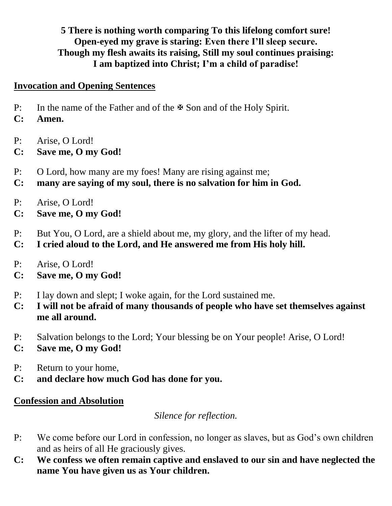### **5 There is nothing worth comparing To this lifelong comfort sure! Open-eyed my grave is staring: Even there I'll sleep secure. Though my flesh awaits its raising, Still my soul continues praising: I am baptized into Christ; I'm a child of paradise!**

#### **Invocation and Opening Sentences**

- P: In the name of the Father and of the  $\mathbb F$  Son and of the Holy Spirit.
- **C: Amen.**
- P: Arise, O Lord!
- **C: Save me, O my God!**
- P: O Lord, how many are my foes! Many are rising against me;
- **C: many are saying of my soul, there is no salvation for him in God.**
- P: Arise, O Lord!
- **C: Save me, O my God!**
- P: But You, O Lord, are a shield about me, my glory, and the lifter of my head.
- **C: I cried aloud to the Lord, and He answered me from His holy hill.**
- P: Arise, O Lord!
- **C: Save me, O my God!**
- P: I lay down and slept; I woke again, for the Lord sustained me.
- **C: I will not be afraid of many thousands of people who have set themselves against me all around.**
- P: Salvation belongs to the Lord; Your blessing be on Your people! Arise, O Lord!
- **C: Save me, O my God!**
- P: Return to your home,
- **C: and declare how much God has done for you.**

### **Confession and Absolution**

*Silence for reflection.*

- P: We come before our Lord in confession, no longer as slaves, but as God's own children and as heirs of all He graciously gives.
- **C: We confess we often remain captive and enslaved to our sin and have neglected the name You have given us as Your children.**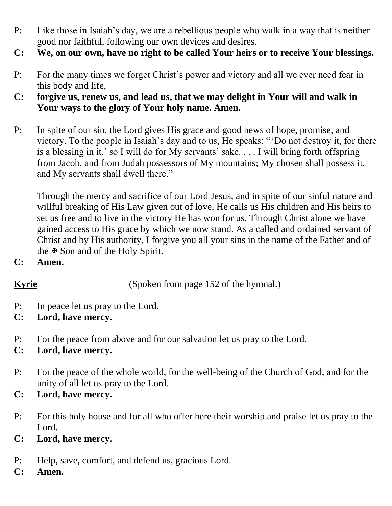- P: Like those in Isaiah's day, we are a rebellious people who walk in a way that is neither good nor faithful, following our own devices and desires.
- **C: We, on our own, have no right to be called Your heirs or to receive Your blessings.**
- P: For the many times we forget Christ's power and victory and all we ever need fear in this body and life,
- **C: forgive us, renew us, and lead us, that we may delight in Your will and walk in Your ways to the glory of Your holy name. Amen.**
- P: In spite of our sin, the Lord gives His grace and good news of hope, promise, and victory. To the people in Isaiah's day and to us, He speaks: " 'Do not destroy it, for there is a blessing in it,' so I will do for My servants' sake. . . . I will bring forth offspring from Jacob, and from Judah possessors of My mountains; My chosen shall possess it, and My servants shall dwell there."

Through the mercy and sacrifice of our Lord Jesus, and in spite of our sinful nature and willful breaking of His Law given out of love, He calls us His children and His heirs to set us free and to live in the victory He has won for us. Through Christ alone we have gained access to His grace by which we now stand. As a called and ordained servant of Christ and by His authority, I forgive you all your sins in the name of the Father and of the  $\mathbb F$  Son and of the Holy Spirit.

**C: Amen.**

**Kyrie** (Spoken from page 152 of the hymnal.)

- P: In peace let us pray to the Lord.
- **C: Lord, have mercy.**
- P: For the peace from above and for our salvation let us pray to the Lord.
- **C: Lord, have mercy.**
- P: For the peace of the whole world, for the well-being of the Church of God, and for the unity of all let us pray to the Lord.
- **C: Lord, have mercy.**
- P: For this holy house and for all who offer here their worship and praise let us pray to the Lord.
- **C: Lord, have mercy.**
- P: Help, save, comfort, and defend us, gracious Lord.
- **C: Amen.**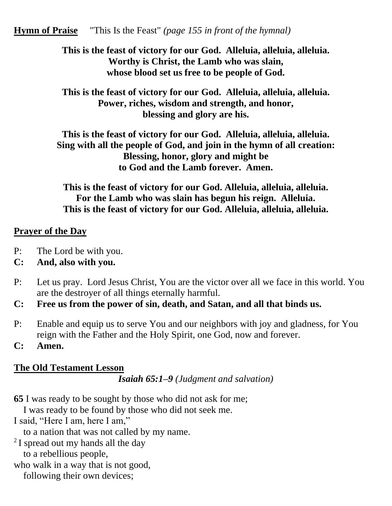#### **Hymn of Praise** "This Is the Feast" *(page 155 in front of the hymnal)*

**This is the feast of victory for our God. Alleluia, alleluia, alleluia. Worthy is Christ, the Lamb who was slain, whose blood set us free to be people of God.**

**This is the feast of victory for our God. Alleluia, alleluia, alleluia. Power, riches, wisdom and strength, and honor, blessing and glory are his.**

**This is the feast of victory for our God. Alleluia, alleluia, alleluia. Sing with all the people of God, and join in the hymn of all creation: Blessing, honor, glory and might be to God and the Lamb forever. Amen.**

**This is the feast of victory for our God. Alleluia, alleluia, alleluia. For the Lamb who was slain has begun his reign. Alleluia. This is the feast of victory for our God. Alleluia, alleluia, alleluia.**

#### **Prayer of the Day**

- P: The Lord be with you.
- **C: And, also with you.**
- P: Let us pray. Lord Jesus Christ, You are the victor over all we face in this world. You are the destroyer of all things eternally harmful.
- **C: Free us from the power of sin, death, and Satan, and all that binds us.**
- P: Enable and equip us to serve You and our neighbors with joy and gladness, for You reign with the Father and the Holy Spirit, one God, now and forever.
- **C: Amen.**

#### **The Old Testament Lesson**

*Isaiah 65:1–9 (Judgment and salvation)*

**65** I was ready to be sought by those who did not ask for me;

I was ready to be found by those who did not seek me.

I said, "Here I am, here I am,"

to a nation that was not called by my name.

- <sup>2</sup> I spread out my hands all the day to a rebellious people,
- who walk in a way that is not good,

following their own devices;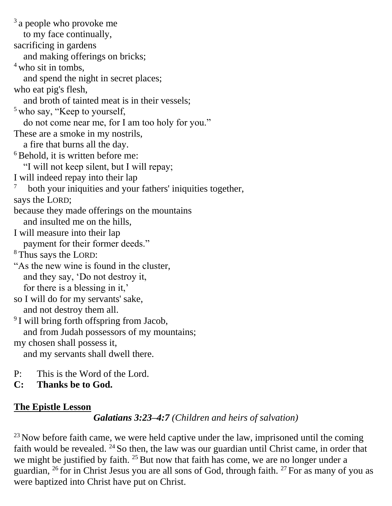<sup>3</sup> a people who provoke me to my face continually, sacrificing in gardens and making offerings on bricks;  $4$  who sit in tombs, and spend the night in secret places; who eat pig's flesh, and broth of tainted meat is in their vessels; <sup>5</sup> who say, "Keep to yourself, do not come near me, for I am too holy for you." These are a smoke in my nostrils, a fire that burns all the day.  $6$ Behold, it is written before me: "I will not keep silent, but I will repay; I will indeed repay into their lap 7 both your iniquities and your fathers' iniquities together, says the LORD; because they made offerings on the mountains and insulted me on the hills, I will measure into their lap payment for their former deeds." <sup>8</sup> Thus says the LORD: "As the new wine is found in the cluster, and they say, 'Do not destroy it, for there is a blessing in it,' so I will do for my servants' sake, and not destroy them all. <sup>9</sup> I will bring forth offspring from Jacob, and from Judah possessors of my mountains; my chosen shall possess it, and my servants shall dwell there.

- P: This is the Word of the Lord.
- **C: Thanks be to God.**

### **The Epistle Lesson**

*Galatians 3:23–4:7 (Children and heirs of salvation)*

 $^{23}$  Now before faith came, we were held captive under the law, imprisoned until the coming faith would be revealed. <sup>24</sup> So then, the law was our guardian until Christ came, in order that we might be justified by faith.  $25$  But now that faith has come, we are no longer under a guardian,  $^{26}$  for in Christ Jesus you are all sons of God, through faith.  $^{27}$  For as many of you as were baptized into Christ have put on Christ.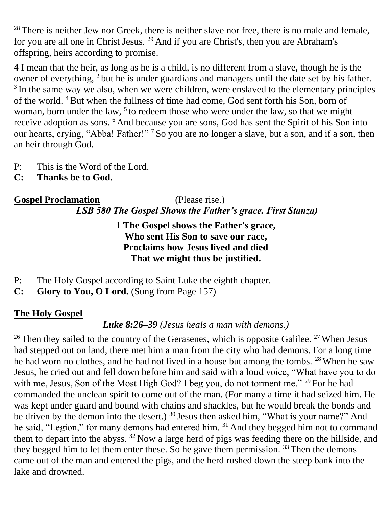$28$  There is neither Jew nor Greek, there is neither slave nor free, there is no male and female, for you are all one in Christ Jesus. <sup>29</sup> And if you are Christ's, then you are Abraham's offspring, heirs according to promise.

**4** I mean that the heir, as long as he is a child, is no different from a slave, though he is the owner of everything, <sup>2</sup> but he is under guardians and managers until the date set by his father. <sup>3</sup> In the same way we also, when we were children, were enslaved to the elementary principles of the world. <sup>4</sup>But when the fullness of time had come, God sent forth his Son, born of woman, born under the law,  $5$  to redeem those who were under the law, so that we might receive adoption as sons. <sup>6</sup> And because you are sons, God has sent the Spirit of his Son into our hearts, crying, "Abba! Father!" <sup>7</sup> So you are no longer a slave, but a son, and if a son, then an heir through God.

- P: This is the Word of the Lord.
- **C: Thanks be to God.**

# **Gospel Proclamation** (Please rise.) *LSB 580 The Gospel Shows the Father's grace. First Stanza)*

#### **1 The Gospel shows the Father's grace, Who sent His Son to save our race, Proclaims how Jesus lived and died That we might thus be justified.**

- P: The Holy Gospel according to Saint Luke the eighth chapter.
- **C: Glory to You, O Lord.** (Sung from Page 157)

### **The Holy Gospel**

# *Luke 8:26–39 (Jesus heals a man with demons.)*

<sup>26</sup> Then they sailed to the country of the Gerasenes, which is opposite Galilee. <sup>27</sup> When Jesus had stepped out on land, there met him a man from the city who had demons. For a long time he had worn no clothes, and he had not lived in a house but among the tombs. <sup>28</sup> When he saw Jesus, he cried out and fell down before him and said with a loud voice, "What have you to do with me, Jesus, Son of the Most High God? I beg you, do not torment me." <sup>29</sup> For he had commanded the unclean spirit to come out of the man. (For many a time it had seized him. He was kept under guard and bound with chains and shackles, but he would break the bonds and be driven by the demon into the desert.) <sup>30</sup> Jesus then asked him, "What is your name?" And he said, "Legion," for many demons had entered him. <sup>31</sup> And they begged him not to command them to depart into the abyss. <sup>32</sup> Now a large herd of pigs was feeding there on the hillside, and they begged him to let them enter these. So he gave them permission.  $33$  Then the demons came out of the man and entered the pigs, and the herd rushed down the steep bank into the lake and drowned.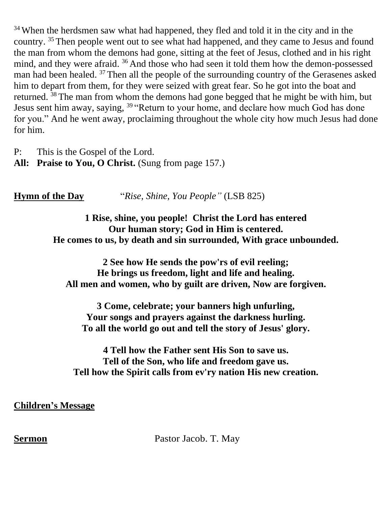<sup>34</sup> When the herdsmen saw what had happened, they fled and told it in the city and in the country. <sup>35</sup> Then people went out to see what had happened, and they came to Jesus and found the man from whom the demons had gone, sitting at the feet of Jesus, clothed and in his right mind, and they were afraid. <sup>36</sup> And those who had seen it told them how the demon-possessed man had been healed. <sup>37</sup> Then all the people of the surrounding country of the Gerasenes asked him to depart from them, for they were seized with great fear. So he got into the boat and returned. <sup>38</sup> The man from whom the demons had gone begged that he might be with him, but Jesus sent him away, saying, <sup>39</sup> "Return to your home, and declare how much God has done for you." And he went away, proclaiming throughout the whole city how much Jesus had done for him.

P: This is the Gospel of the Lord. **All: Praise to You, O Christ.** (Sung from page 157.)

**Hymn of the Day** "*Rise, Shine, You People"* (LSB 825)

#### **1 Rise, shine, you people! Christ the Lord has entered Our human story; God in Him is centered. He comes to us, by death and sin surrounded, With grace unbounded.**

**2 See how He sends the pow'rs of evil reeling; He brings us freedom, light and life and healing. All men and women, who by guilt are driven, Now are forgiven.**

**3 Come, celebrate; your banners high unfurling, Your songs and prayers against the darkness hurling. To all the world go out and tell the story of Jesus' glory.**

**4 Tell how the Father sent His Son to save us. Tell of the Son, who life and freedom gave us. Tell how the Spirit calls from ev'ry nation His new creation.**

**Children's Message**

**Sermon Pastor Jacob. T. May**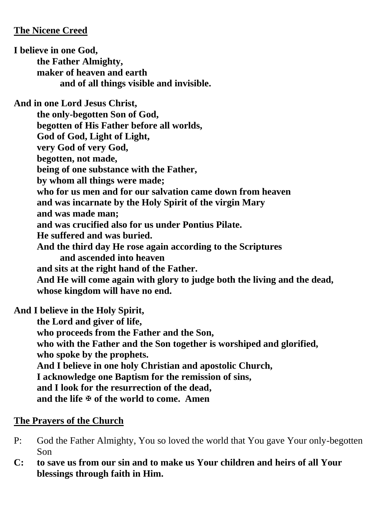#### **The Nicene Creed**

**I believe in one God, the Father Almighty, maker of heaven and earth and of all things visible and invisible. And in one Lord Jesus Christ, the only-begotten Son of God, begotten of His Father before all worlds, God of God, Light of Light, very God of very God, begotten, not made, being of one substance with the Father, by whom all things were made; who for us men and for our salvation came down from heaven and was incarnate by the Holy Spirit of the virgin Mary and was made man; and was crucified also for us under Pontius Pilate. He suffered and was buried. And the third day He rose again according to the Scriptures and ascended into heaven and sits at the right hand of the Father. And He will come again with glory to judge both the living and the dead, whose kingdom will have no end.**

**And I believe in the Holy Spirit,** 

**the Lord and giver of life, who proceeds from the Father and the Son, who with the Father and the Son together is worshiped and glorified, who spoke by the prophets. And I believe in one holy Christian and apostolic Church, I acknowledge one Baptism for the remission of sins, and I look for the resurrection of the dead, and the life of the world to come. Amen**

#### **The Prayers of the Church**

- P: God the Father Almighty, You so loved the world that You gave Your only-begotten Son
- **C: to save us from our sin and to make us Your children and heirs of all Your blessings through faith in Him.**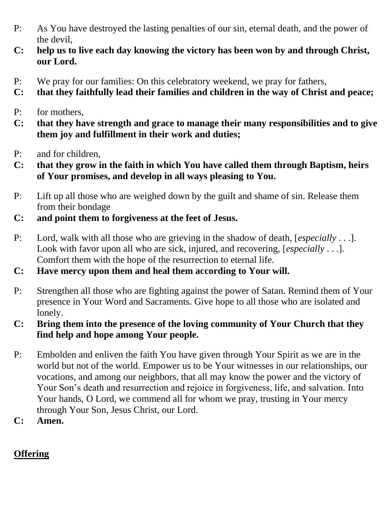- P: As You have destroyed the lasting penalties of our sin, eternal death, and the power of the devil,
- **C: help us to live each day knowing the victory has been won by and through Christ, our Lord.**
- P: We pray for our families: On this celebratory weekend, we pray for fathers,
- **C: that they faithfully lead their families and children in the way of Christ and peace;**
- P: for mothers,
- **C: that they have strength and grace to manage their many responsibilities and to give them joy and fulfillment in their work and duties;**
- P: and for children,
- **C: that they grow in the faith in which You have called them through Baptism, heirs of Your promises, and develop in all ways pleasing to You.**
- P: Lift up all those who are weighed down by the guilt and shame of sin. Release them from their bondage
- **C: and point them to forgiveness at the feet of Jesus.**
- P: Lord, walk with all those who are grieving in the shadow of death, [*especially* . . .]. Look with favor upon all who are sick, injured, and recovering, [*especially* . . .]. Comfort them with the hope of the resurrection to eternal life.
- **C: Have mercy upon them and heal them according to Your will.**
- P: Strengthen all those who are fighting against the power of Satan. Remind them of Your presence in Your Word and Sacraments. Give hope to all those who are isolated and lonely.
- **C: Bring them into the presence of the loving community of Your Church that they find help and hope among Your people.**
- P: Embolden and enliven the faith You have given through Your Spirit as we are in the world but not of the world. Empower us to be Your witnesses in our relationships, our vocations, and among our neighbors, that all may know the power and the victory of Your Son's death and resurrection and rejoice in forgiveness, life, and salvation. Into Your hands, O Lord, we commend all for whom we pray, trusting in Your mercy through Your Son, Jesus Christ, our Lord.
- **C: Amen.**

# **Offering**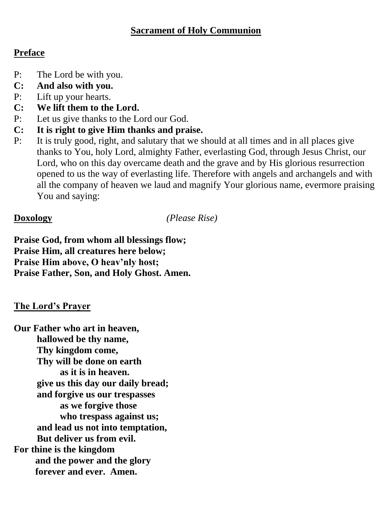#### **Sacrament of Holy Communion**

#### **Preface**

- P: The Lord be with you.
- **C: And also with you.**
- P: Lift up your hearts.
- **C: We lift them to the Lord.**
- P: Let us give thanks to the Lord our God.
- **C: It is right to give Him thanks and praise.**
- P: It is truly good, right, and salutary that we should at all times and in all places give thanks to You, holy Lord, almighty Father, everlasting God, through Jesus Christ, our Lord, who on this day overcame death and the grave and by His glorious resurrection opened to us the way of everlasting life. Therefore with angels and archangels and with all the company of heaven we laud and magnify Your glorious name, evermore praising You and saying:

**Doxology** *(Please Rise)*

**Praise God, from whom all blessings flow; Praise Him, all creatures here below; Praise Him above, O heav'nly host; Praise Father, Son, and Holy Ghost. Amen.**

### **The Lord's Prayer**

**Our Father who art in heaven, hallowed be thy name, Thy kingdom come, Thy will be done on earth as it is in heaven. give us this day our daily bread; and forgive us our trespasses as we forgive those who trespass against us; and lead us not into temptation, But deliver us from evil. For thine is the kingdom and the power and the glory forever and ever. Amen.**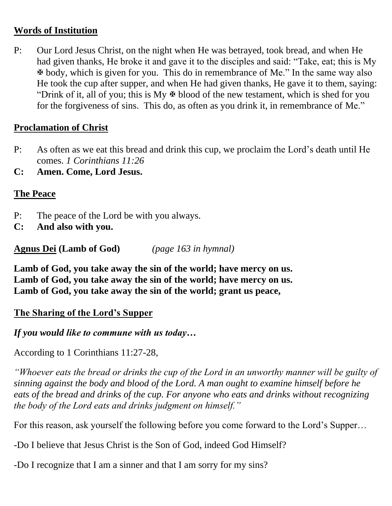#### **Words of Institution**

P: Our Lord Jesus Christ, on the night when He was betrayed, took bread, and when He had given thanks, He broke it and gave it to the disciples and said: "Take, eat; this is My body, which is given for you. This do in remembrance of Me." In the same way also He took the cup after supper, and when He had given thanks, He gave it to them, saying: "Drink of it, all of you; this is My  $\overline{\mathcal{F}}$  blood of the new testament, which is shed for you for the forgiveness of sins. This do, as often as you drink it, in remembrance of Me."

#### **Proclamation of Christ**

- P: As often as we eat this bread and drink this cup, we proclaim the Lord's death until He comes. *1 Corinthians 11:26*
- **C: Amen. Come, Lord Jesus.**

#### **The Peace**

P: The peace of the Lord be with you always.

**C: And also with you.**

**Agnus Dei (Lamb of God)** *(page 163 in hymnal)*

**Lamb of God, you take away the sin of the world; have mercy on us. Lamb of God, you take away the sin of the world; have mercy on us. Lamb of God, you take away the sin of the world; grant us peace,**

#### **The Sharing of the Lord's Supper**

*If you would like to commune with us today…*

According to 1 Corinthians 11:27-28,

*"Whoever eats the bread or drinks the cup of the Lord in an unworthy manner will be guilty of sinning against the body and blood of the Lord. A man ought to examine himself before he eats of the bread and drinks of the cup. For anyone who eats and drinks without recognizing the body of the Lord eats and drinks judgment on himself."*

For this reason, ask yourself the following before you come forward to the Lord's Supper…

-Do I believe that Jesus Christ is the Son of God, indeed God Himself?

-Do I recognize that I am a sinner and that I am sorry for my sins?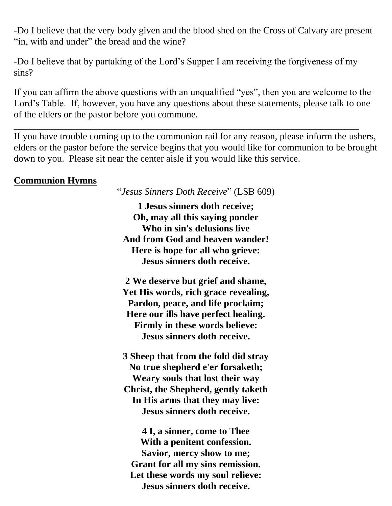-Do I believe that the very body given and the blood shed on the Cross of Calvary are present "in, with and under" the bread and the wine?

-Do I believe that by partaking of the Lord's Supper I am receiving the forgiveness of my sins?

If you can affirm the above questions with an unqualified "yes", then you are welcome to the Lord's Table. If, however, you have any questions about these statements, please talk to one of the elders or the pastor before you commune.

\_\_\_\_\_\_\_\_\_\_\_\_\_\_\_\_\_\_\_\_\_\_\_\_\_\_\_\_\_\_\_\_\_\_\_\_\_\_\_\_\_\_\_\_\_\_\_\_\_\_\_\_\_\_\_\_\_\_\_\_\_\_\_\_\_\_\_\_\_\_\_\_

If you have trouble coming up to the communion rail for any reason, please inform the ushers, elders or the pastor before the service begins that you would like for communion to be brought down to you. Please sit near the center aisle if you would like this service.

#### **Communion Hymns**

"*Jesus Sinners Doth Receive*" (LSB 609)

**1 Jesus sinners doth receive; Oh, may all this saying ponder Who in sin's delusions live And from God and heaven wander! Here is hope for all who grieve: Jesus sinners doth receive.**

**2 We deserve but grief and shame, Yet His words, rich grace revealing, Pardon, peace, and life proclaim; Here our ills have perfect healing. Firmly in these words believe: Jesus sinners doth receive.**

**3 Sheep that from the fold did stray No true shepherd e'er forsaketh; Weary souls that lost their way Christ, the Shepherd, gently taketh In His arms that they may live: Jesus sinners doth receive.**

**4 I, a sinner, come to Thee With a penitent confession. Savior, mercy show to me; Grant for all my sins remission. Let these words my soul relieve: Jesus sinners doth receive.**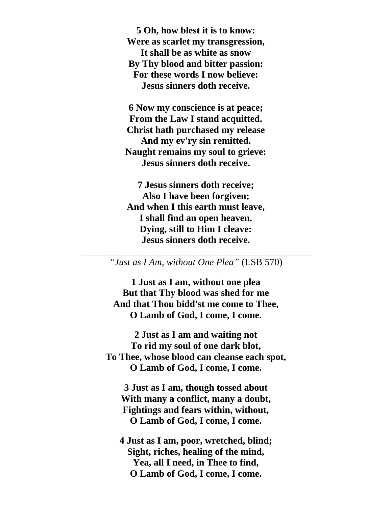**5 Oh, how blest it is to know: Were as scarlet my transgression, It shall be as white as snow By Thy blood and bitter passion: For these words I now believe: Jesus sinners doth receive.**

**6 Now my conscience is at peace; From the Law I stand acquitted. Christ hath purchased my release And my ev'ry sin remitted. Naught remains my soul to grieve: Jesus sinners doth receive.**

**7 Jesus sinners doth receive; Also I have been forgiven; And when I this earth must leave, I shall find an open heaven. Dying, still to Him I cleave: Jesus sinners doth receive.**

#### \_\_\_\_\_\_\_\_\_\_\_\_\_\_\_\_\_\_\_\_\_\_\_\_\_\_\_\_\_\_\_\_\_\_\_\_\_\_\_\_\_\_\_\_\_\_\_\_ *"Just as I Am, without One Plea"* (LSB 570)

**1 Just as I am, without one plea But that Thy blood was shed for me And that Thou bidd'st me come to Thee, O Lamb of God, I come, I come.**

**2 Just as I am and waiting not To rid my soul of one dark blot, To Thee, whose blood can cleanse each spot, O Lamb of God, I come, I come.**

**3 Just as I am, though tossed about With many a conflict, many a doubt, Fightings and fears within, without, O Lamb of God, I come, I come.**

**4 Just as I am, poor, wretched, blind; Sight, riches, healing of the mind, Yea, all I need, in Thee to find, O Lamb of God, I come, I come.**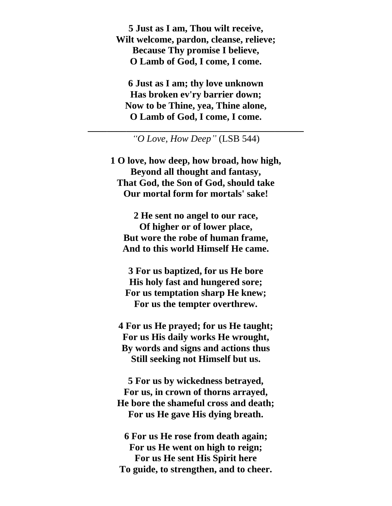**5 Just as I am, Thou wilt receive, Wilt welcome, pardon, cleanse, relieve; Because Thy promise I believe, O Lamb of God, I come, I come.**

**6 Just as I am; thy love unknown Has broken ev'ry barrier down; Now to be Thine, yea, Thine alone, O Lamb of God, I come, I come.**

**\_\_\_\_\_\_\_\_\_\_\_\_\_\_\_\_\_\_\_\_\_\_\_\_\_\_\_\_\_\_\_\_\_\_\_\_\_\_\_\_\_\_\_\_\_** *"O Love, How Deep"* (LSB 544)

**1 O love, how deep, how broad, how high, Beyond all thought and fantasy, That God, the Son of God, should take Our mortal form for mortals' sake!**

**2 He sent no angel to our race, Of higher or of lower place, But wore the robe of human frame, And to this world Himself He came.**

**3 For us baptized, for us He bore His holy fast and hungered sore; For us temptation sharp He knew; For us the tempter overthrew.**

**4 For us He prayed; for us He taught; For us His daily works He wrought, By words and signs and actions thus Still seeking not Himself but us.**

**5 For us by wickedness betrayed, For us, in crown of thorns arrayed, He bore the shameful cross and death; For us He gave His dying breath.**

**6 For us He rose from death again; For us He went on high to reign; For us He sent His Spirit here To guide, to strengthen, and to cheer.**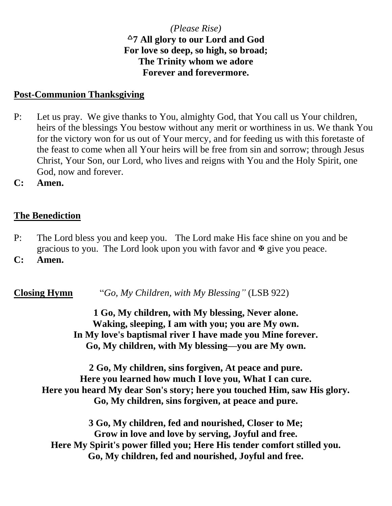#### *(Please Rise)* **7 All glory to our Lord and God For love so deep, so high, so broad; The Trinity whom we adore Forever and forevermore.**

#### **Post-Communion Thanksgiving**

- P: Let us pray. We give thanks to You, almighty God, that You call us Your children, heirs of the blessings You bestow without any merit or worthiness in us. We thank You for the victory won for us out of Your mercy, and for feeding us with this foretaste of the feast to come when all Your heirs will be free from sin and sorrow; through Jesus Christ, Your Son, our Lord, who lives and reigns with You and the Holy Spirit, one God, now and forever.
- **C: Amen.**

#### **The Benediction**

- P: The Lord bless you and keep you. The Lord make His face shine on you and be gracious to you. The Lord look upon you with favor and  $\mathbb{F}$  give you peace.
- **C: Amen.**

**Closing Hymn** "*Go, My Children, with My Blessing"* (LSB 922)

**1 Go, My children, with My blessing, Never alone. Waking, sleeping, I am with you; you are My own. In My love's baptismal river I have made you Mine forever. Go, My children, with My blessing—you are My own.**

**2 Go, My children, sins forgiven, At peace and pure. Here you learned how much I love you, What I can cure. Here you heard My dear Son's story; here you touched Him, saw His glory. Go, My children, sins forgiven, at peace and pure.**

**3 Go, My children, fed and nourished, Closer to Me; Grow in love and love by serving, Joyful and free. Here My Spirit's power filled you; Here His tender comfort stilled you. Go, My children, fed and nourished, Joyful and free.**